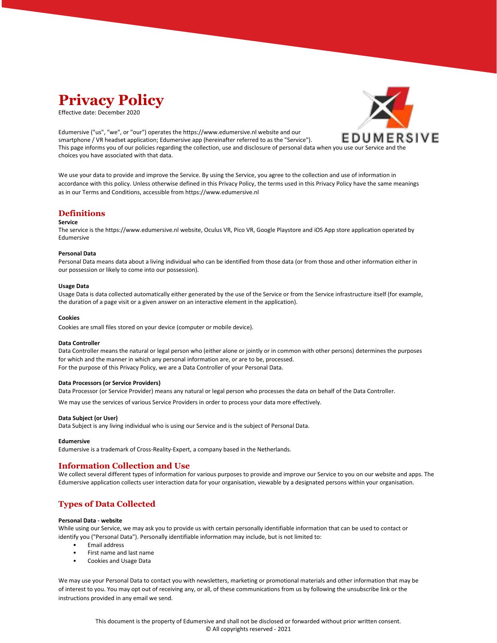

Effective date: December 2020

Edumersive ("us", "we", or "our") operates the https://www.edumersive.nl website and our smartphone / VR headset application; Edumersive app (hereinafter referred to as the "Service"). This page informs you of our policies regarding the collection, use and disclosure of personal data when you use our Service and the choices you have associated with that data.



We use your data to provide and improve the Service. By using the Service, you agree to the collection and use of information in accordance with this policy. Unless otherwise defined in this Privacy Policy, the terms used in this Privacy Policy have the same meanings as in our Terms and Conditions, accessible from https://www.edumersive.nl

# **Definitions**

#### **Service**

The service is the https://www.edumersive.nl website, Oculus VR, Pico VR, Google Playstore and iOS App store application operated by Edumersive

### **Personal Data**

Personal Data means data about a living individual who can be identified from those data (or from those and other information either in our possession or likely to come into our possession).

#### **Usage Data**

Usage Data is data collected automatically either generated by the use of the Service or from the Service infrastructure itself (for example, the duration of a page visit or a given answer on an interactive element in the application).

#### **Cookies**

Cookies are small files stored on your device (computer or mobile device).

### **Data Controller**

Data Controller means the natural or legal person who (either alone or jointly or in common with other persons) determines the purposes for which and the manner in which any personal information are, or are to be, processed. For the purpose of this Privacy Policy, we are a Data Controller of your Personal Data.

### **Data Processors (or Service Providers)**

Data Processor (or Service Provider) means any natural or legal person who processes the data on behalf of the Data Controller.

We may use the services of various Service Providers in order to process your data more effectively.

#### **Data Subject (or User)**

Data Subject is any living individual who is using our Service and is the subject of Personal Data.

#### **Edumersive**

Edumersive is a trademark of Cross-Reality-Expert, a company based in the Netherlands.

# **Information Collection and Use**

We collect several different types of information for various purposes to provide and improve our Service to you on our website and apps. The Edumersive application collects user interaction data for your organisation, viewable by a designated persons within your organisation.

# **Types of Data Collected**

### **Personal Data - website**

While using our Service, we may ask you to provide us with certain personally identifiable information that can be used to contact or identify you ("Personal Data"). Personally identifiable information may include, but is not limited to:

- Email address
- First name and last name
- Cookies and Usage Data

We may use your Personal Data to contact you with newsletters, marketing or promotional materials and other information that may be of interest to you. You may opt out of receiving any, or all, of these communications from us by following the unsubscribe link or the instructions provided in any email we send.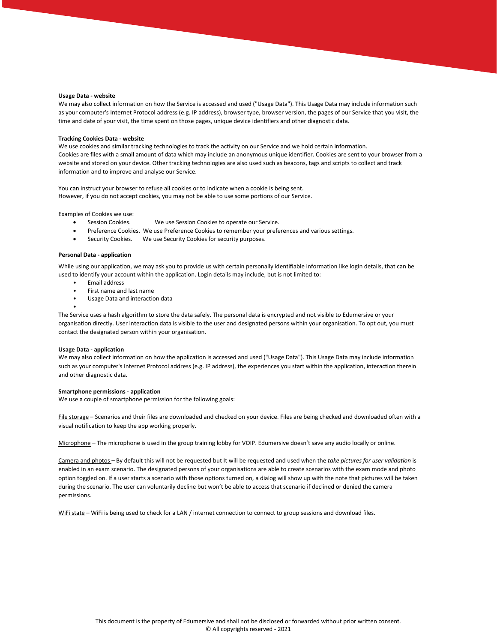#### **Usage Data - website**

We may also collect information on how the Service is accessed and used ("Usage Data"). This Usage Data may include information such as your computer's Internet Protocol address (e.g. IP address), browser type, browser version, the pages of our Service that you visit, the time and date of your visit, the time spent on those pages, unique device identifiers and other diagnostic data.

#### **Tracking Cookies Data - website**

We use cookies and similar tracking technologies to track the activity on our Service and we hold certain information. Cookies are files with a small amount of data which may include an anonymous unique identifier. Cookies are sent to your browser from a website and stored on your device. Other tracking technologies are also used such as beacons, tags and scripts to collect and track information and to improve and analyse our Service.

You can instruct your browser to refuse all cookies or to indicate when a cookie is being sent. However, if you do not accept cookies, you may not be able to use some portions of our Service.

Examples of Cookies we use:

- Session Cookies. We use Session Cookies to operate our Service.
- Preference Cookies. We use Preference Cookies to remember your preferences and various settings.
- Security Cookies. We use Security Cookies for security purposes.

### **Personal Data - application**

While using our application, we may ask you to provide us with certain personally identifiable information like login details, that can be used to identify your account within the application. Login details may include, but is not limited to:

- Email address
- First name and last name
- Usage Data and interaction data

The Service uses a hash algorithm to store the data safely. The personal data is encrypted and not visible to Edumersive or your organisation directly. User interaction data is visible to the user and designated persons within your organisation. To opt out, you must contact the designated person within your organisation.

#### **Usage Data - application**

•

We may also collect information on how the application is accessed and used ("Usage Data"). This Usage Data may include information such as your computer's Internet Protocol address (e.g. IP address), the experiences you start within the application, interaction therein and other diagnostic data.

#### **Smartphone permissions - application**

We use a couple of smartphone permission for the following goals:

File storage – Scenarios and their files are downloaded and checked on your device. Files are being checked and downloaded often with a visual notification to keep the app working properly.

Microphone – The microphone is used in the group training lobby for VOIP. Edumersive doesn't save any audio locally or online.

Camera and photos – By default this will not be requested but It will be requested and used when the *take pictures for user validation* is enabled in an exam scenario. The designated persons of your organisations are able to create scenarios with the exam mode and photo option toggled on. If a user starts a scenario with those options turned on, a dialog will show up with the note that pictures will be taken during the scenario. The user can voluntarily decline but won't be able to access that scenario if declined or denied the camera permissions.

WiFi state - WiFi is being used to check for a LAN / internet connection to connect to group sessions and download files.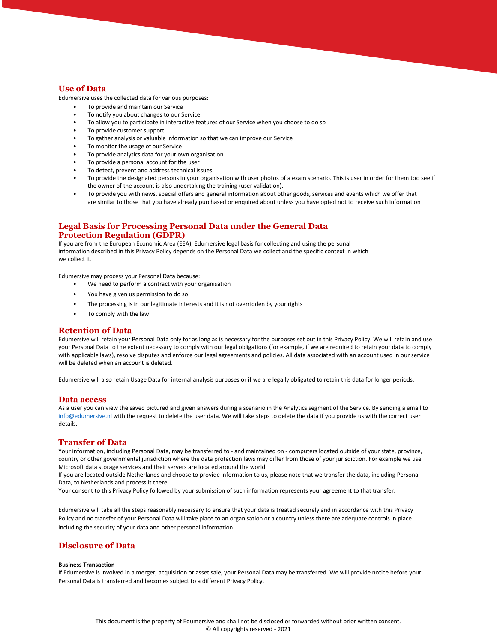# **Use of Data**

Edumersive uses the collected data for various purposes:

- To provide and maintain our Service
- To notify you about changes to our Service
- To allow you to participate in interactive features of our Service when you choose to do so
- To provide customer support
- To gather analysis or valuable information so that we can improve our Service
- To monitor the usage of our Service
- To provide analytics data for your own organisation
- To provide a personal account for the user
- To detect, prevent and address technical issues
- To provide the designated persons in your organisation with user photos of a exam scenario. This is user in order for them too see if the owner of the account is also undertaking the training (user validation).
- To provide you with news, special offers and general information about other goods, services and events which we offer that are similar to those that you have already purchased or enquired about unless you have opted not to receive such information

# **Legal Basis for Processing Personal Data under the General Data Protection Regulation (GDPR)**

If you are from the European Economic Area (EEA), Edumersive legal basis for collecting and using the personal information described in this Privacy Policy depends on the Personal Data we collect and the specific context in which we collect it.

Edumersive may process your Personal Data because:

- We need to perform a contract with your organisation
- You have given us permission to do so
- The processing is in our legitimate interests and it is not overridden by your rights
- To comply with the law

# **Retention of Data**

Edumersive will retain your Personal Data only for as long as is necessary for the purposes set out in this Privacy Policy. We will retain and use your Personal Data to the extent necessary to comply with our legal obligations (for example, if we are required to retain your data to comply with applicable laws), resolve disputes and enforce our legal agreements and policies. All data associated with an account used in our service will be deleted when an account is deleted.

Edumersive will also retain Usage Data for internal analysis purposes or if we are legally obligated to retain this data for longer periods.

### **Data access**

As a user you can view the saved pictured and given answers during a scenario in the Analytics segment of the Service. By sending a email to [info@edumersive.nl](mailto:info@edumersive.nl) with the request to delete the user data. We will take steps to delete the data if you provide us with the correct user details.

# **Transfer of Data**

Your information, including Personal Data, may be transferred to - and maintained on - computers located outside of your state, province, country or other governmental jurisdiction where the data protection laws may differ from those of your jurisdiction. For example we use Microsoft data storage services and their servers are located around the world.

If you are located outside Netherlands and choose to provide information to us, please note that we transfer the data, including Personal Data, to Netherlands and process it there.

Your consent to this Privacy Policy followed by your submission of such information represents your agreement to that transfer.

Edumersive will take all the steps reasonably necessary to ensure that your data is treated securely and in accordance with this Privacy Policy and no transfer of your Personal Data will take place to an organisation or a country unless there are adequate controls in place including the security of your data and other personal information.

# **Disclosure of Data**

#### **Business Transaction**

If Edumersive is involved in a merger, acquisition or asset sale, your Personal Data may be transferred. We will provide notice before your Personal Data is transferred and becomes subject to a different Privacy Policy.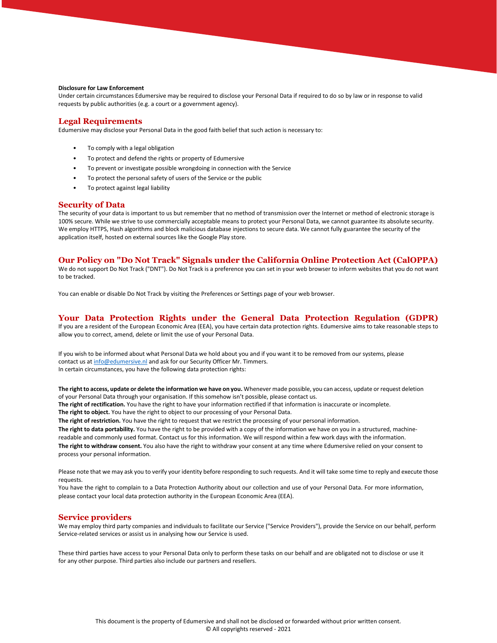### **Disclosure for Law Enforcement**

Under certain circumstances Edumersive may be required to disclose your Personal Data if required to do so by law or in response to valid requests by public authorities (e.g. a court or a government agency).

### **Legal Requirements**

Edumersive may disclose your Personal Data in the good faith belief that such action is necessary to:

- To comply with a legal obligation
- To protect and defend the rights or property of Edumersive
- To prevent or investigate possible wrongdoing in connection with the Service
- To protect the personal safety of users of the Service or the public
- To protect against legal liability

### **Security of Data**

The security of your data is important to us but remember that no method of transmission over the Internet or method of electronic storage is 100% secure. While we strive to use commercially acceptable means to protect your Personal Data, we cannot guarantee its absolute security. We employ HTTPS, Hash algorithms and block malicious database injections to secure data. We cannot fully guarantee the security of the application itself, hosted on external sources like the Google Play store.

# **Our Policy on "Do Not Track" Signals under the California Online Protection Act (CalOPPA)**

We do not support Do Not Track ("DNT"). Do Not Track is a preference you can set in your web browser to inform websites that you do not want to be tracked.

You can enable or disable Do Not Track by visiting the Preferences or Settings page of your web browser.

### **Your Data Protection Rights under the General Data Protection Regulation (GDPR)**

If you are a resident of the European Economic Area (EEA), you have certain data protection rights. Edumersive aims to take reasonable steps to allow you to correct, amend, delete or limit the use of your Personal Data.

If you wish to be informed about what Personal Data we hold about you and if you want it to be removed from our systems, please contact us a[t info@edumersive.nl](mailto:info@edumersive.nl) and ask for our Security Officer Mr. Timmers. In certain circumstances, you have the following data protection rights:

**The right to access, update or delete the information we have on you.** Whenever made possible, you can access, update or request deletion of your Personal Data through your organisation. If this somehow isn't possible, please contact us.

**The right of rectification.** You have the right to have your information rectified if that information is inaccurate or incomplete.

**The right to object.** You have the right to object to our processing of your Personal Data.

**The right of restriction.** You have the right to request that we restrict the processing of your personal information.

**The right to data portability.** You have the right to be provided with a copy of the information we have on you in a structured, machinereadable and commonly used format. Contact us for this information. We will respond within a few work days with the information.

**The right to withdraw consent.** You also have the right to withdraw your consent at any time where Edumersive relied on your consent to process your personal information.

Please note that we may ask you to verify your identity before responding to such requests. And it will take some time to reply and execute those requests.

You have the right to complain to a Data Protection Authority about our collection and use of your Personal Data. For more information, please contact your local data protection authority in the European Economic Area (EEA).

### **Service providers**

We may employ third party companies and individuals to facilitate our Service ("Service Providers"), provide the Service on our behalf, perform Service-related services or assist us in analysing how our Service is used.

These third parties have access to your Personal Data only to perform these tasks on our behalf and are obligated not to disclose or use it for any other purpose. Third parties also include our partners and resellers.